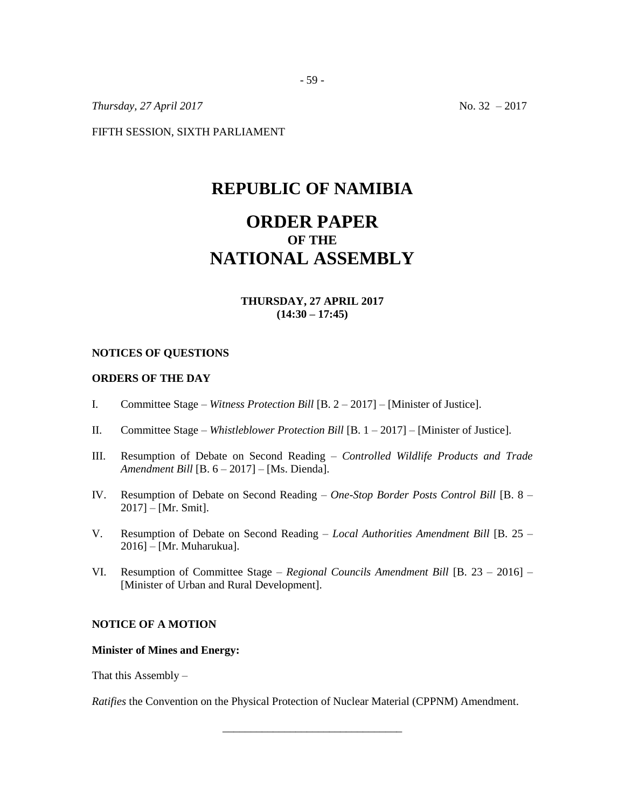*Thursday, 27 April 2017* No. 32 – 2017

FIFTH SESSION, SIXTH PARLIAMENT

# **REPUBLIC OF NAMIBIA**

# **ORDER PAPER OF THE NATIONAL ASSEMBLY**

## **THURSDAY, 27 APRIL 2017 (14:30 – 17:45)**

#### **NOTICES OF QUESTIONS**

#### **ORDERS OF THE DAY**

- I. Committee Stage *Witness Protection Bill* [B. 2 2017] [Minister of Justice].
- II. Committee Stage *Whistleblower Protection Bill* [B. 1 2017] [Minister of Justice].
- III. Resumption of Debate on Second Reading *Controlled Wildlife Products and Trade Amendment Bill* [B. 6 – 2017] – [Ms. Dienda].
- IV. Resumption of Debate on Second Reading *One-Stop Border Posts Control Bill* [B. 8 2017] – [Mr. Smit].
- V. Resumption of Debate on Second Reading *Local Authorities Amendment Bill* [B. 25 2016] – [Mr. Muharukua].
- VI. Resumption of Committee Stage *Regional Councils Amendment Bill* [B. 23 2016] [Minister of Urban and Rural Development].

### **NOTICE OF A MOTION**

#### **Minister of Mines and Energy:**

That this Assembly  $-$ 

*Ratifies* the Convention on the Physical Protection of Nuclear Material (CPPNM) Amendment.

\_\_\_\_\_\_\_\_\_\_\_\_\_\_\_\_\_\_\_\_\_\_\_\_\_\_\_\_\_\_\_\_